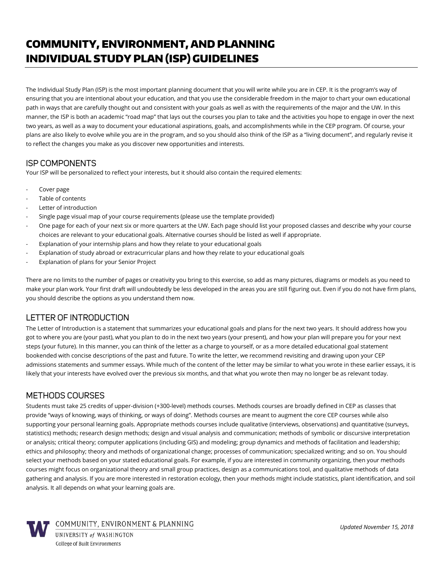# COMMUNITY, ENVIRONMENT, AND PLANNING INDIVIDUAL STUDY PLAN (ISP) GUIDELINES

The Individual Study Plan (ISP) is the most important planning document that you will write while you are in CEP. It is the program's way of ensuring that you are intentional about your education, and that you use the considerable freedom in the major to chart your own educational path in ways that are carefully thought out and consistent with your goals as well as with the requirements of the major and the UW. In this manner, the ISP is both an academic "road map" that lays out the courses you plan to take and the activities you hope to engage in over the next two years, as well as a way to document your educational aspirations, goals, and accomplishments while in the CEP program. Of course, your plans are also likely to evolve while you are in the program, and so you should also think of the ISP as a "living document", and regularly revise it to reflect the changes you make as you discover new opportunities and interests.

## ISP COMPONENTS

Your ISP will be personalized to reflect your interests, but it should also contain the required elements:

- Cover page
- Table of contents
- Letter of introduction
- Single page visual map of your course requirements (please use the template provided)
- One page for each of your next six or more quarters at the UW. Each page should list your proposed classes and describe why your course choices are relevant to your educational goals. Alternative courses should be listed as well if appropriate.
- Explanation of your internship plans and how they relate to your educational goals
- Explanation of study abroad or extracurricular plans and how they relate to your educational goals
- Explanation of plans for your Senior Project

There are no limits to the number of pages or creativity you bring to this exercise, so add as many pictures, diagrams or models as you need to make your plan work. Your first draft will undoubtedly be less developed in the areas you are still figuring out. Even if you do not have firm plans, you should describe the options as you understand them now.

# LETTER OF INTRODUCTION

The Letter of Introduction is a statement that summarizes your educational goals and plans for the next two years. It should address how you got to where you are (your past), what you plan to do in the next two years (your present), and how your plan will prepare you for your next steps (your future). In this manner, you can think of the letter as a charge to yourself, or as a more detailed educational goal statement bookended with concise descriptions of the past and future. To write the letter, we recommend revisiting and drawing upon your CEP admissions statements and summer essays. While much of the content of the letter may be similar to what you wrote in these earlier essays, it is likely that your interests have evolved over the previous six months, and that what you wrote then may no longer be as relevant today.

# METHODS COURSES

Students must take 25 credits of upper-division (+300-level) methods courses. Methods courses are broadly defined in CEP as classes that provide "ways of knowing, ways of thinking, or ways of doing". Methods courses are meant to augment the core CEP courses while also supporting your personal learning goals. Appropriate methods courses include qualitative (interviews, observations) and quantitative (surveys, statistics) methods; research design methods; design and visual analysis and communication; methods of symbolic or discursive interpretation or analysis; critical theory; computer applications (including GIS) and modeling; group dynamics and methods of facilitation and leadership; ethics and philosophy; theory and methods of organizational change; processes of communication; specialized writing; and so on. You should select your methods based on your stated educational goals. For example, if you are interested in community organizing, then your methods courses might focus on organizational theory and small group practices, design as a communications tool, and qualitative methods of data gathering and analysis. If you are more interested in restoration ecology, then your methods might include statistics, plant identification, and soil analysis. It all depends on what your learning goals are.



COMMUNITY, ENVIRONMENT & PLANNING

*Updated November 15, 2018*